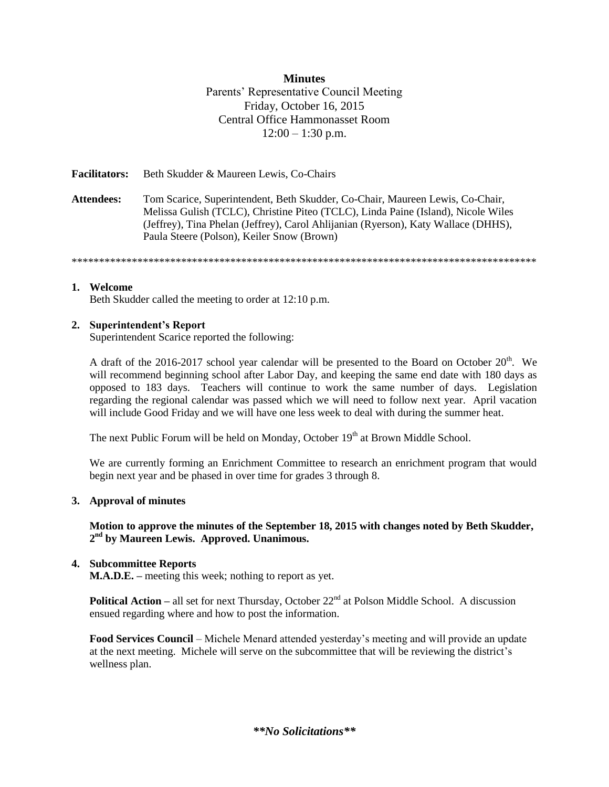## **Minutes**

Parents' Representative Council Meeting Friday, October 16, 2015 Central Office Hammonasset Room  $12:00 - 1:30$  p.m.

**Facilitators:** Beth Skudder & Maureen Lewis, Co-Chairs

**Attendees:** Tom Scarice, Superintendent, Beth Skudder, Co-Chair, Maureen Lewis, Co-Chair, Melissa Gulish (TCLC), Christine Piteo (TCLC), Linda Paine (Island), Nicole Wiles (Jeffrey), Tina Phelan (Jeffrey), Carol Ahlijanian (Ryerson), Katy Wallace (DHHS), Paula Steere (Polson), Keiler Snow (Brown)

\*\*\*\*\*\*\*\*\*\*\*\*\*\*\*\*\*\*\*\*\*\*\*\*\*\*\*\*\*\*\*\*\*\*\*\*\*\*\*\*\*\*\*\*\*\*\*\*\*\*\*\*\*\*\*\*\*\*\*\*\*\*\*\*\*\*\*\*\*\*\*\*\*\*\*\*\*\*\*\*\*\*\*\*\*

### **1. Welcome**

Beth Skudder called the meeting to order at 12:10 p.m.

## **2. Superintendent's Report**

Superintendent Scarice reported the following:

A draft of the 2016-2017 school year calendar will be presented to the Board on October  $20<sup>th</sup>$ . We will recommend beginning school after Labor Day, and keeping the same end date with 180 days as opposed to 183 days. Teachers will continue to work the same number of days. Legislation regarding the regional calendar was passed which we will need to follow next year. April vacation will include Good Friday and we will have one less week to deal with during the summer heat.

The next Public Forum will be held on Monday, October  $19<sup>th</sup>$  at Brown Middle School.

We are currently forming an Enrichment Committee to research an enrichment program that would begin next year and be phased in over time for grades 3 through 8.

#### **3. Approval of minutes**

**Motion to approve the minutes of the September 18, 2015 with changes noted by Beth Skudder, 2 nd by Maureen Lewis. Approved. Unanimous.**

## **4. Subcommittee Reports**

**M.A.D.E. –** meeting this week; nothing to report as yet.

**Political Action** – all set for next Thursday, October 22<sup>nd</sup> at Polson Middle School. A discussion ensued regarding where and how to post the information.

**Food Services Council** – Michele Menard attended yesterday's meeting and will provide an update at the next meeting. Michele will serve on the subcommittee that will be reviewing the district's wellness plan.